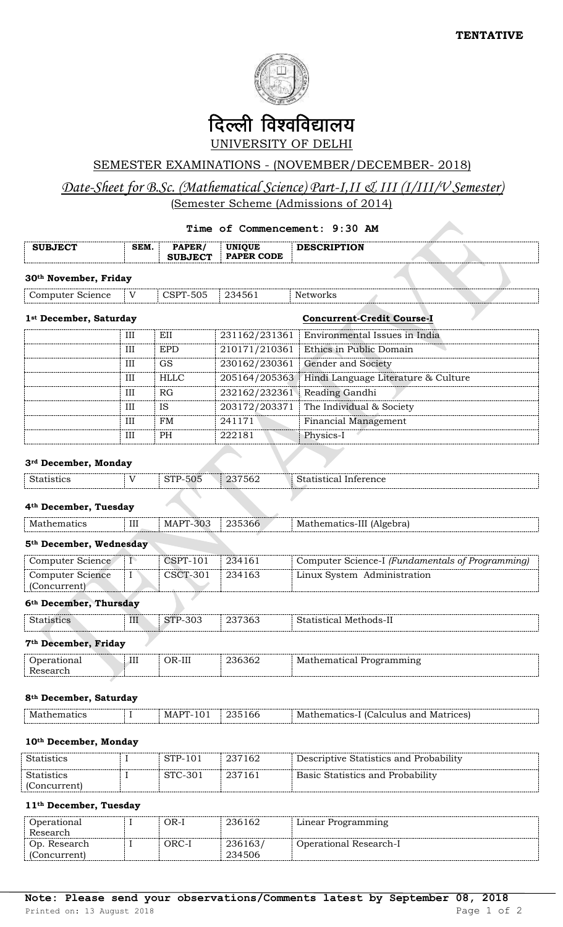

# दिल्ली विश्वविद्यालय UNIVERSITY OF DELHI

## SEMESTER EXAMINATIONS - (NOVEMBER/DECEMBER- 2018)

# *Date-Sheet for B.Sc. (Mathematical Science) Part-I,II & III (I/III/V Semester)* (Semester Scheme (Admissions of 2014)

## **Time of Commencement: 9:30 AM**

| <b>SUBJECT</b>                          | SEM.           | PAPER/<br><b>SUBJECT</b> | <b>UNIQUE</b><br><b>PAPER CODE</b> | <b>DESCRIPTION</b>                               |
|-----------------------------------------|----------------|--------------------------|------------------------------------|--------------------------------------------------|
| 30 <sup>th</sup> November, Friday       |                |                          |                                    |                                                  |
| Computer Science                        | V              | <b>CSPT-505</b>          | 234561                             | Networks                                         |
| 1st December, Saturday                  |                |                          |                                    | <b>Concurrent-Credit Course-I</b>                |
|                                         | III            | EII                      | 231162/231361                      | Environmental Issues in India                    |
|                                         | III            | <b>EPD</b>               | 210171/210361                      | Ethics in Public Domain                          |
|                                         | Ш              | <b>GS</b>                | 230162/230361                      | Gender and Society                               |
|                                         | III            | <b>HLLC</b>              | 205164/205363                      | Hindi Language Literature & Culture              |
|                                         | Ш              | RG                       | 232162/232361                      | Reading Gandhi                                   |
|                                         | III            | <b>IS</b>                | 203172/203371                      | The Individual & Society                         |
|                                         | Ш              | <b>FM</b>                | 241171                             | <b>Financial Management</b>                      |
|                                         | III            | PH                       | 222181                             | Physics-I                                        |
| 3rd December, Monday                    |                |                          |                                    |                                                  |
| <b>Statistics</b>                       | V              | <b>STP-505</b>           | 237562                             | <b>Statistical Inference</b>                     |
| 4 <sup>th</sup> December, Tuesday       |                |                          |                                    |                                                  |
| Mathematics                             | III            | <b>MAPT-303</b>          | 235366                             | Mathematics-III (Algebra)                        |
| 5 <sup>th</sup> December, Wednesday     |                |                          |                                    |                                                  |
| Computer Science                        | $\overline{I}$ | <b>CSPT-101</b>          | 234161                             | Computer Science-I (Fundamentals of Programming) |
| <b>Computer Science</b><br>(Concurrent) | I              | <b>CSCT-301</b>          | 234163                             | Linux System Administration                      |

## **6th December, Thursday**

| <b>Statistics</b>                | III<br>STP-303<br>237363<br>Statistical Methods-II |          |        |                          |
|----------------------------------|----------------------------------------------------|----------|--------|--------------------------|
| 7 <sup>th</sup> December, Friday |                                                    |          |        |                          |
| Operational<br>Research          | Ш                                                  | $OR-III$ | 236362 | Mathematical Programming |

### **8th December, Saturday**

| Math |  | .nr<br>. . | Mat<br>rhem<br>$-20$ | and<br>nces:<br>alculus.<br>Ma1 |
|------|--|------------|----------------------|---------------------------------|
|      |  |            |                      |                                 |

### **10th December, Monday**

| <b>Statistics</b> | STP-101 | $\pm 237162$ | Descriptive Statistics and Probability |
|-------------------|---------|--------------|----------------------------------------|
| <b>Statistics</b> | STC-301 | -237161      | Basic Statistics and Probability       |
| (Concurrent)      |         |              |                                        |

### **11th December, Tuesday**

| Operational<br>Research      | วR-I  | 236162            | Linear Programming     |
|------------------------------|-------|-------------------|------------------------|
| Op. Research<br>(Concurrent) | ORC-I | 236163/<br>234506 | Operational Research-I |